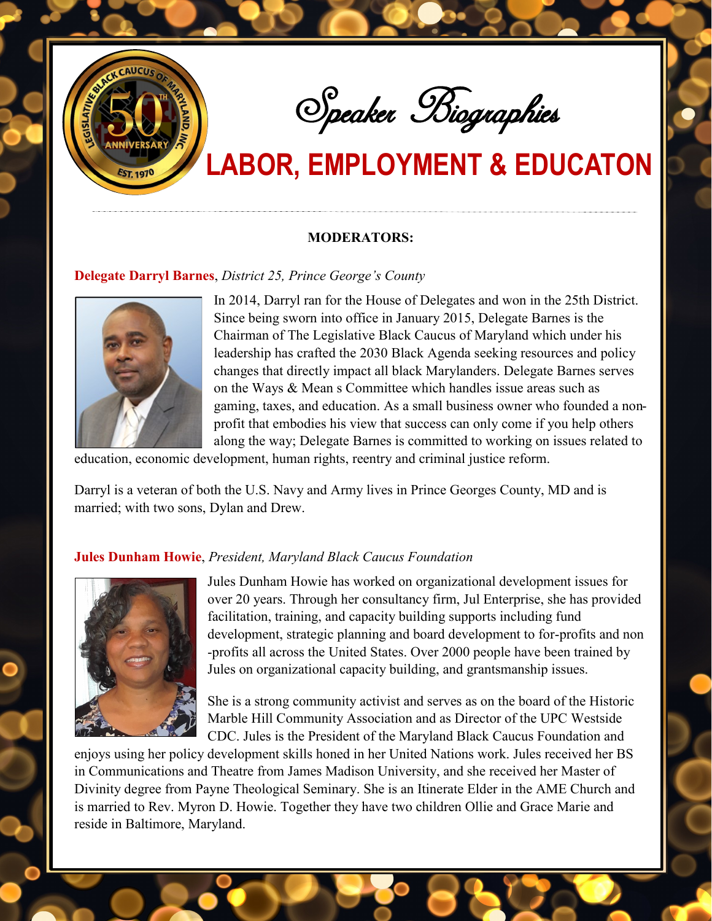

Speaker Biographies

# **LABOR, EMPLOYMENT & EDUCATON**

#### **MODERATORS:**

### **Delegate Darryl Barnes**, *District 25, Prince George's County*



In 2014, Darryl ran for the House of Delegates and won in the 25th District. Since being sworn into office in January 2015, Delegate Barnes is the Chairman of The Legislative Black Caucus of Maryland which under his leadership has crafted the 2030 Black Agenda seeking resources and policy changes that directly impact all black Marylanders. Delegate Barnes serves on the Ways & Mean s Committee which handles issue areas such as gaming, taxes, and education. As a small business owner who founded a nonprofit that embodies his view that success can only come if you help others along the way; Delegate Barnes is committed to working on issues related to

education, economic development, human rights, reentry and criminal justice reform.

Darryl is a veteran of both the U.S. Navy and Army lives in Prince Georges County, MD and is married; with two sons, Dylan and Drew.

### **Jules Dunham Howie**, *President, Maryland Black Caucus Foundation*



Jules Dunham Howie has worked on organizational development issues for over 20 years. Through her consultancy firm, Jul Enterprise, she has provided facilitation, training, and capacity building supports including fund development, strategic planning and board development to for-profits and non -profits all across the United States. Over 2000 people have been trained by Jules on organizational capacity building, and grantsmanship issues.

She is a strong community activist and serves as on the board of the Historic Marble Hill Community Association and as Director of the UPC Westside CDC. Jules is the President of the Maryland Black Caucus Foundation and

enjoys using her policy development skills honed in her United Nations work. Jules received her BS in Communications and Theatre from James Madison University, and she received her Master of Divinity degree from Payne Theological Seminary. She is an Itinerate Elder in the AME Church and is married to Rev. Myron D. Howie. Together they have two children Ollie and Grace Marie and reside in Baltimore, Maryland.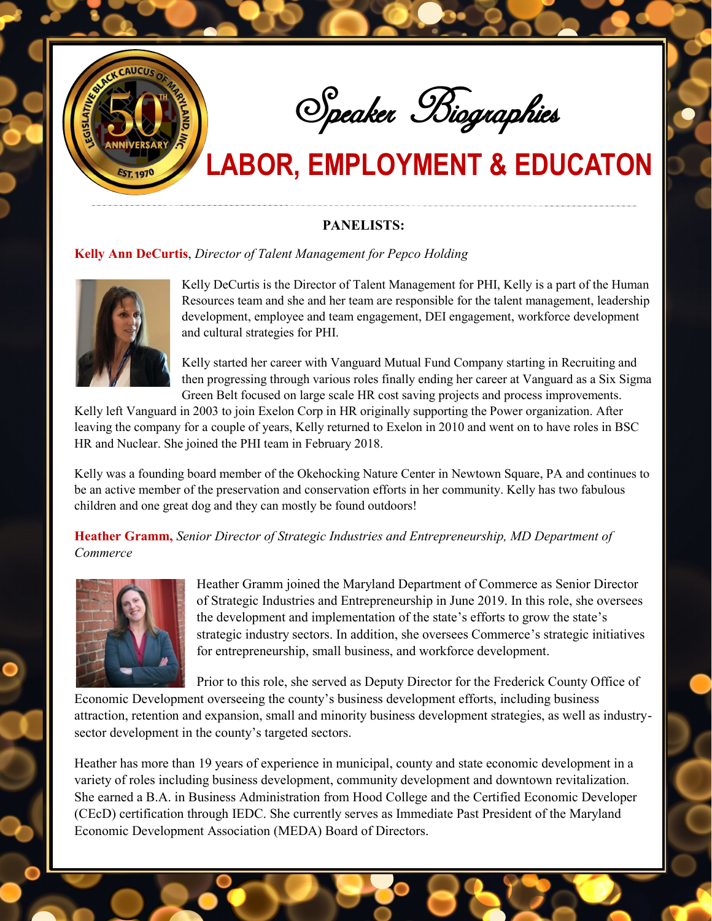

Speaker Biographies

## **LABOR, EMPLOYMENT & EDUCATON**

### **PANELISTS:**

### **Kelly Ann DeCurtis**, *Director of Talent Management for Pepco Holding*



Kelly DeCurtis is the Director of Talent Management for PHI, Kelly is a part of the Human Resources team and she and her team are responsible for the talent management, leadership development, employee and team engagement, DEI engagement, workforce development and cultural strategies for PHI.

Kelly started her career with Vanguard Mutual Fund Company starting in Recruiting and then progressing through various roles finally ending her career at Vanguard as a Six Sigma Green Belt focused on large scale HR cost saving projects and process improvements.

Kelly left Vanguard in 2003 to join Exelon Corp in HR originally supporting the Power organization. After leaving the company for a couple of years, Kelly returned to Exelon in 2010 and went on to have roles in BSC HR and Nuclear. She joined the PHI team in February 2018.

Kelly was a founding board member of the Okehocking Nature Center in Newtown Square, PA and continues to be an active member of the preservation and conservation efforts in her community. Kelly has two fabulous children and one great dog and they can mostly be found outdoors!

**Heather Gramm,** *Senior Director of Strategic Industries and Entrepreneurship, MD Department of Commerce* 



Heather Gramm joined the Maryland Department of Commerce as Senior Director of Strategic Industries and Entrepreneurship in June 2019. In this role, she oversees the development and implementation of the state's efforts to grow the state's strategic industry sectors. In addition, she oversees Commerce's strategic initiatives for entrepreneurship, small business, and workforce development.

Prior to this role, she served as Deputy Director for the Frederick County Office of

Economic Development overseeing the county's business development efforts, including business attraction, retention and expansion, small and minority business development strategies, as well as industrysector development in the county's targeted sectors.

Heather has more than 19 years of experience in municipal, county and state economic development in a variety of roles including business development, community development and downtown revitalization. She earned a B.A. in Business Administration from Hood College and the Certified Economic Developer (CEcD) certification through IEDC. She currently serves as Immediate Past President of the Maryland Economic Development Association (MEDA) Board of Directors.